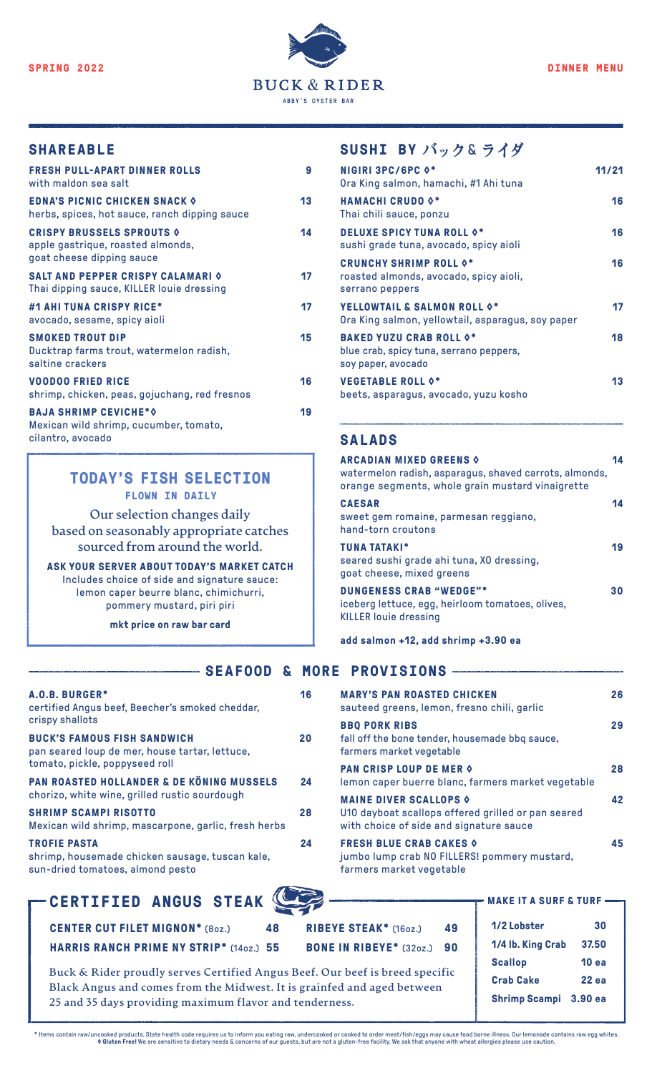

### **SHAREABLE**

| <b>FRESH PULL-APART DINNER ROLLS</b><br>with maldon sea salt                                           | 9  |
|--------------------------------------------------------------------------------------------------------|----|
| <b>EDNA'S PICNIC CHICKEN SNACK O</b><br>herbs, spices, hot sauce, ranch dipping sauce                  | 13 |
| <b>CRISPY BRUSSELS SPROUTS &amp;</b><br>apple gastrique, roasted almonds,<br>goat cheese dipping sauce | 14 |
| <b>SALT AND PEPPER CRISPY CALAMARI 0</b><br>Thai dipping sauce, KILLER louie dressing                  | 17 |
| #1 AHI TUNA CRISPY RICE*<br>avocado, sesame, spicy aioli                                               | 17 |
| <b>SMOKED TROUT DIP</b><br>Ducktrap farms trout, watermelon radish,<br>saltine crackers                | 15 |
| <b>VOODOO FRIED RICE</b><br>shrimp, chicken, peas, gojuchang, red fresnos                              | 16 |
| <b>BAJA SHRIMP CEVICHE*O</b><br>Mexican wild shrimp, cucumber, tomato,<br>cilantro, avocado            | 19 |

#### **TODAY'S FISH SELECTION FLOWN IN DAILY**

**Our selection changes daily based on seasonably appropriate catches sourced from around the world.**

**ASK YOUR SERVER ABOUT TODAY'S MARKET CATCH** Includes choice of side and signature sauce: lemon caper beurre blanc, chimichurri, pommery mustard, piri piri

**mkt price on raw bar card**

## **SUSHI BY バック** & **ライダ**

| <b>NIGIRI 3PC/6PC 0*</b><br>Ora King salmon, hamachi, #1 Ahi tuna                               | 11/21 |
|-------------------------------------------------------------------------------------------------|-------|
| <b>HAMACHI CRUDO 0*</b><br>Thai chili sauce, ponzu                                              | 16    |
| <b>DELUXE SPICY TUNA ROLL 0*</b><br>sushi grade tuna, avocado, spicy aioli                      | 16    |
| <b>CRUNCHY SHRIMP ROLL 0*</b><br>roasted almonds, avocado, spicy aioli,<br>serrano peppers      | 16    |
| <b>YELLOWTAIL &amp; SALMON ROLL 0*</b><br>Ora King salmon, yellowtail, asparagus, soy paper     | 17    |
| <b>BAKED YUZU CRAB ROLL 0*</b><br>blue crab, spicy tuna, serrano peppers,<br>soy paper, avocado | 18    |
| <b>VEGETABLE ROLL 0*</b><br>beets, asparagus, avocado, yuzu kosho                               | 13    |
|                                                                                                 |       |

## **SALADS**

| <b>ARCADIAN MIXED GREENS 0</b><br>watermelon radish, asparagus, shaved carrots, almonds,<br>orange segments, whole grain mustard vinaigrette | 14 |
|----------------------------------------------------------------------------------------------------------------------------------------------|----|
| <b>CAESAR</b><br>sweet gem romaine, parmesan reggiano,<br>hand-torn croutons                                                                 | 14 |
| <b>TUNA TATAKI*</b><br>seared sushi grade ahi tuna, XO dressing,<br>goat cheese, mixed greens                                                | 19 |
| <b>DUNGENESS CRAB "WEDGE"*</b><br>iceberg lettuce, egg, heirloom tomatoes, olives,<br><b>KILLER louie dressing</b>                           | 30 |

#### **add salmon +12, add shrimp +3.90 ea**

#### **SEAFOOD & MORE PROVISIONS**

| A.O.B. BURGER*<br>certified Angus beef, Beecher's smoked cheddar,                                                                     | 16 | <b>MARY'S PAN ROASTED CHICKEN</b><br>sauteed greens, lemon, fresno chili, garlic                                                   | 26 |
|---------------------------------------------------------------------------------------------------------------------------------------|----|------------------------------------------------------------------------------------------------------------------------------------|----|
| crispy shallots<br><b>BUCK'S FAMOUS FISH SANDWICH</b><br>pan seared loup de mer, house tartar, lettuce,                               | 20 | <b>BBO PORK RIBS</b><br>fall off the bone tender, housemade bbq sauce,<br>farmers market vegetable                                 | 29 |
| tomato, pickle, poppyseed roll<br>PAN ROASTED HOLLANDER & DE KÖNING MUSSELS                                                           | 24 | <b>PAN CRISP LOUP DE MER 0</b><br>lemon caper buerre blanc, farmers market vegetable                                               | 28 |
| chorizo, white wine, grilled rustic sourdough<br><b>SHRIMP SCAMPI RISOTTO</b><br>Mexican wild shrimp, mascarpone, garlic, fresh herbs | 28 | <b>MAINE DIVER SCALLOPS &amp;</b><br>U10 dayboat scallops offered grilled or pan seared<br>with choice of side and signature sauce | 42 |
| <b>TROFIE PASTA</b><br>shrimp, housemade chicken sausage, tuscan kale,<br>sun-dried tomatoes, almond pesto                            | 24 | <b>FRESH BLUE CRAB CAKES 0</b><br>jumbo lump crab NO FILLERS! pommery mustard,<br>farmers market vegetable                         | 45 |

# **CERTIFIED ANGUS STEAK MAKE IT A SURF & TURF**

| CERTIFIED ANOUS SIEAR                          |         |                                   |    |
|------------------------------------------------|---------|-----------------------------------|----|
| <b>CENTER CUT FILET MIGNON* (80z.)</b>         | 48 - 18 | <b>RIBEYE STEAK*</b> (16oz.)      | 49 |
| <b>HARRIS RANCH PRIME NY STRIP*</b> (140Z.) 55 |         | <b>BONE IN RIBEYE*</b> (32oz.) 90 |    |

| 1/2 Lobster          | 30           |
|----------------------|--------------|
| 1/4 lb. King Crab    | 37.50        |
| <b>Scallop</b>       | <b>10 ea</b> |
| <b>Crab Cake</b>     | 22 ea        |
| <b>Shrimp Scampi</b> | 3.90 ea      |

**Buck & Rider proudly serves Certified Angus Beef. Our beef is breed specific Black Angus and comes from the Midwest. It is grainfed and aged between 25 and 35 days providing maximum flavor and tenderness.**

\* Items contain raw/uncooked products. State health code requires us to inform you eating raw, undercooked or cooked to order meat/fish/eggs may cause food borne illness. Our lemonade contains raw egg whites. **◊ Gluten Free!** We are sensitive to dietary needs & concerns of our guests, but are not a gluten-free facility. We ask that anyone with wheat allergies please use caution.